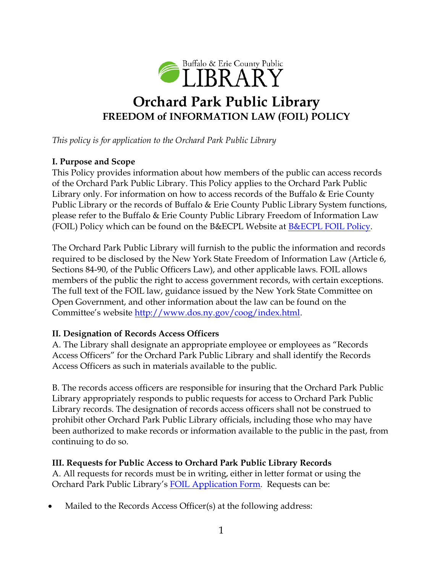

# **Orchard Park Public Library FREEDOM of INFORMATION LAW (FOIL) POLICY**

*This policy is for application to the Orchard Park Public Library* 

## **I. Purpose and Scope**

This Policy provides information about how members of the public can access records of the Orchard Park Public Library. This Policy applies to the Orchard Park Public Library only. For information on how to access records of the Buffalo & Erie County Public Library or the records of Buffalo & Erie County Public Library System functions, please refer to the Buffalo & Erie County Public Library Freedom of Information Law (FOIL) Policy which can be found on the B&ECPL Website at [B&ECPL FOIL Policy.](http://www.buffalolib.org/sites/default/files/pdf/policies/FOIL%20Policy%207-21-16%20New.pdf)

The Orchard Park Public Library will furnish to the public the information and records required to be disclosed by the New York State Freedom of Information Law (Article 6, Sections 84-90, of the Public Officers Law), and other applicable laws. FOIL allows members of the public the right to access government records, with certain exceptions. The full text of the FOIL law, guidance issued by the New York State Committee on Open Government, and other information about the law can be found on the Committee's website [http://www.dos.ny.gov/coog/index.html.](http://www.dos.ny.gov/coog/index.html)

### **II. Designation of Records Access Officers**

A. The Library shall designate an appropriate employee or employees as "Records Access Officers" for the Orchard Park Public Library and shall identify the Records Access Officers as such in materials available to the public.

B. The records access officers are responsible for insuring that the Orchard Park Public Library appropriately responds to public requests for access to Orchard Park Public Library records. The designation of records access officers shall not be construed to prohibit other Orchard Park Public Library officials, including those who may have been authorized to make records or information available to the public in the past, from continuing to do so.

### **III. Requests for Public Access to Orchard Park Public Library Records**

A. All requests for records must be in writing, either in letter format or using the Orchard Park Public Library's [FOIL Application Form.](file:///C:/Users/ERRINGTONP/Downloads/Town%20of%20Tonawanda%20Public%20Library%20FOIL%20Policy%20Application%20Only.pdf) Requests can be:

Mailed to the Records Access Officer(s) at the following address: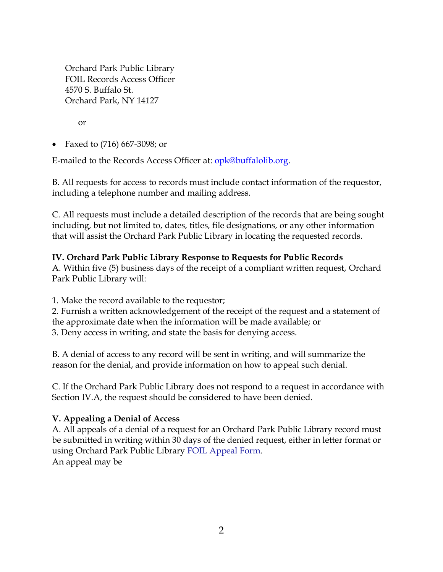Orchard Park Public Library FOIL Records Access Officer 4570 S. Buffalo St. Orchard Park, NY 14127

or

• Faxed to (716) 667-3098; or

E-mailed to the Records Access Officer at: **opk@buffalolib.org**.

B. All requests for access to records must include contact information of the requestor, including a telephone number and mailing address.

C. All requests must include a detailed description of the records that are being sought including, but not limited to, dates, titles, file designations, or any other information that will assist the Orchard Park Public Library in locating the requested records.

#### **IV. Orchard Park Public Library Response to Requests for Public Records**

A. Within five (5) business days of the receipt of a compliant written request, Orchard Park Public Library will:

1. Make the record available to the requestor;

2. Furnish a written acknowledgement of the receipt of the request and a statement of the approximate date when the information will be made available; or 3. Deny access in writing, and state the basis for denying access.

B. A denial of access to any record will be sent in writing, and will summarize the reason for the denial, and provide information on how to appeal such denial.

C. If the Orchard Park Public Library does not respond to a request in accordance with Section IV.A, the request should be considered to have been denied.

### **V. Appealing a Denial of Access**

A. All appeals of a denial of a request for an Orchard Park Public Library record must be submitted in writing within 30 days of the denied request, either in letter format or using Orchard Park Public Library FOIL Appeal Form. An appeal may be